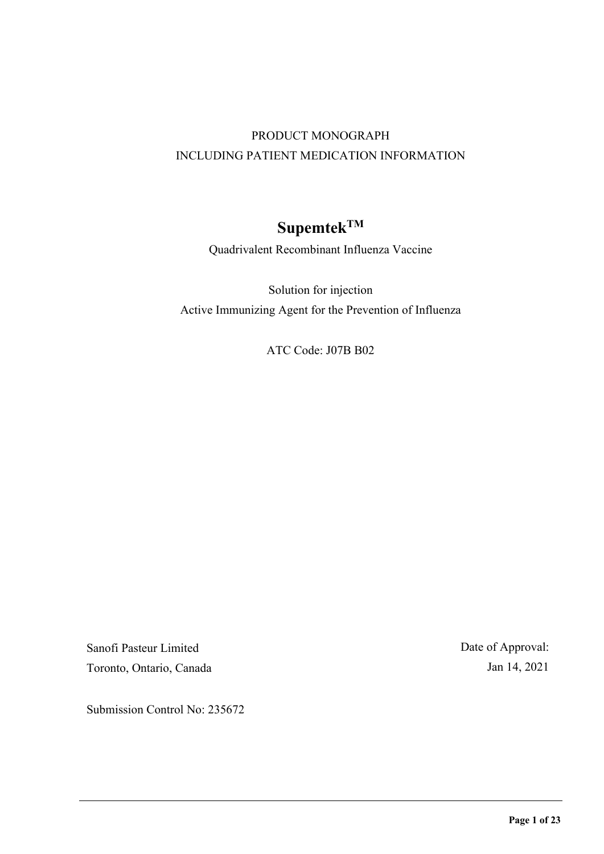# PRODUCT MONOGRAPH INCLUDING PATIENT MEDICATION INFORMATION

# **SupemtekTM**

Quadrivalent Recombinant Influenza Vaccine

Solution for injection Active Immunizing Agent for the Prevention of Influenza

ATC Code: J07B B02

Sanofi Pasteur Limited Toronto, Ontario, Canada Date of Approval: Jan 14, 2021

Submission Control No: 235672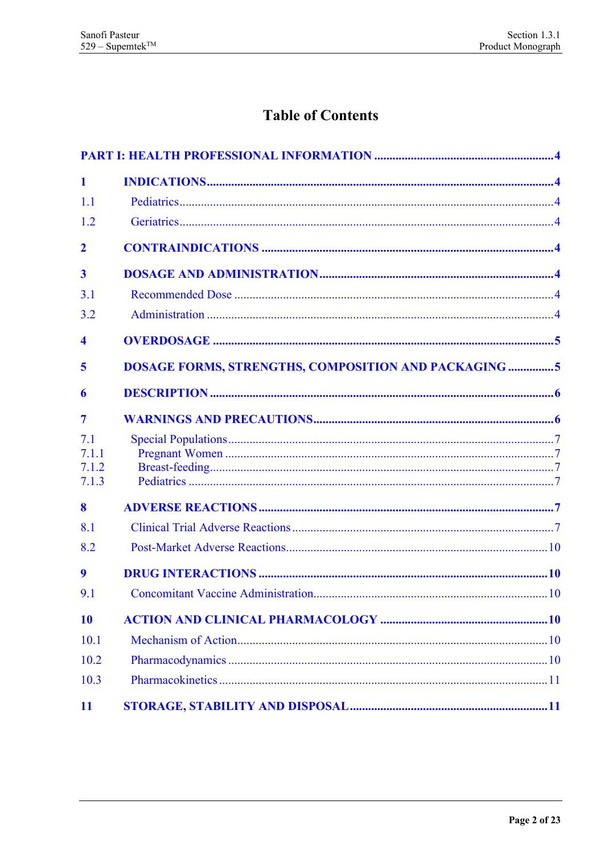# **Table of Contents**

| $\blacksquare$          |                                                             |  |
|-------------------------|-------------------------------------------------------------|--|
| 1.1                     |                                                             |  |
| 1.2                     |                                                             |  |
| $\overline{2}$          |                                                             |  |
| $\overline{\mathbf{3}}$ |                                                             |  |
| 3.1                     |                                                             |  |
| 3.2                     |                                                             |  |
| $\overline{\mathbf{4}}$ |                                                             |  |
| 5                       | <b>DOSAGE FORMS, STRENGTHS, COMPOSITION AND PACKAGING 5</b> |  |
| 6                       |                                                             |  |
| $\overline{7}$          |                                                             |  |
| 7.1                     |                                                             |  |
| 7.1.1<br>7.1.2          |                                                             |  |
| 7.1.3                   |                                                             |  |
| 8                       |                                                             |  |
| 8.1                     |                                                             |  |
| 8.2                     |                                                             |  |
| 9                       |                                                             |  |
| 9.1                     |                                                             |  |
| 10                      |                                                             |  |
| 10.1                    |                                                             |  |
| 10.2                    |                                                             |  |
| 10.3                    |                                                             |  |
| 11                      |                                                             |  |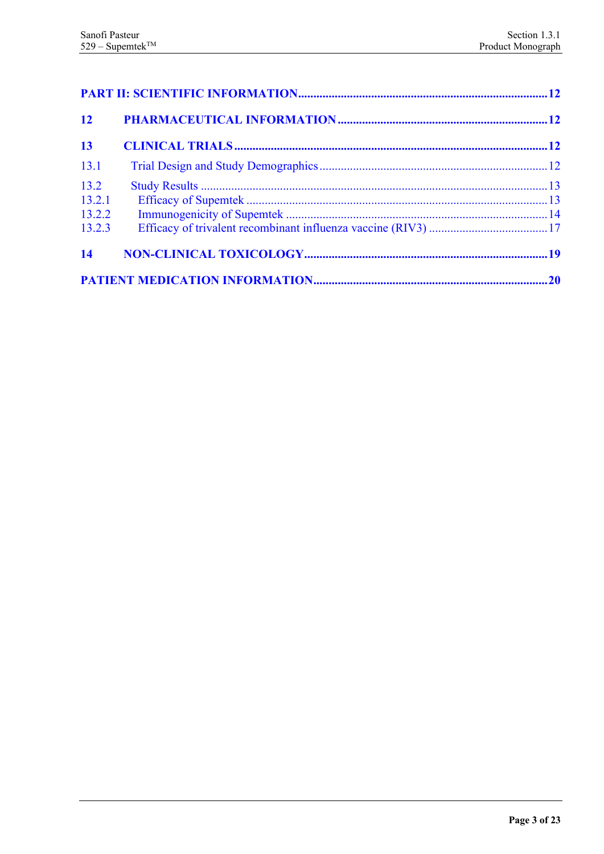| 12                       |  |  |
|--------------------------|--|--|
| 13                       |  |  |
| 13.1                     |  |  |
| 13.2<br>13.2.1<br>13.2.2 |  |  |
| 13.2.3<br>14             |  |  |
|                          |  |  |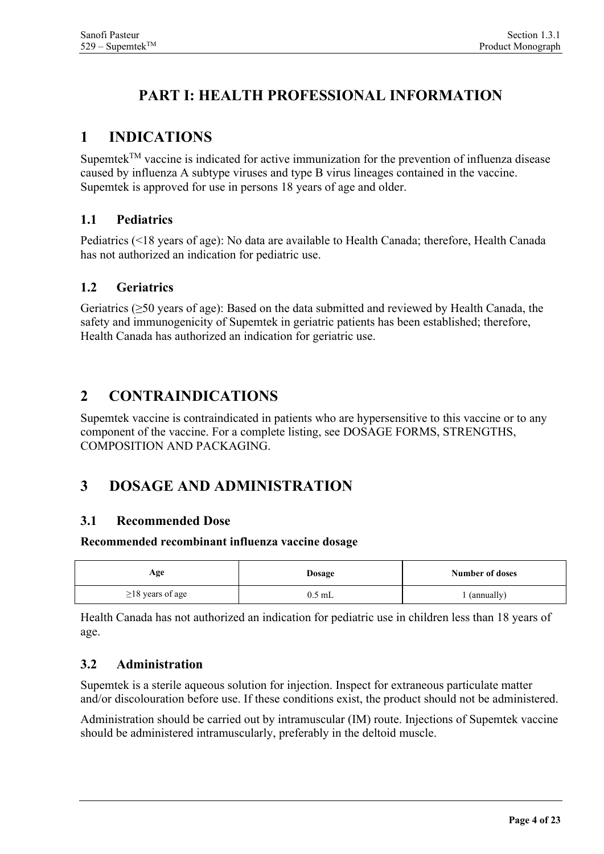# <span id="page-3-0"></span>**PART I: HEALTH PROFESSIONAL INFORMATION**

# <span id="page-3-1"></span>**1 INDICATIONS**

Supemtek<sup>TM</sup> vaccine is indicated for active immunization for the prevention of influenza disease caused by influenza A subtype viruses and type B virus lineages contained in the vaccine. Supemtek is approved for use in persons 18 years of age and older.

### <span id="page-3-2"></span>**1.1 Pediatrics**

Pediatrics (<18 years of age): No data are available to Health Canada; therefore, Health Canada has not authorized an indication for pediatric use.

### <span id="page-3-3"></span>**1.2 Geriatrics**

Geriatrics (≥50 years of age): Based on the data submitted and reviewed by Health Canada, the safety and immunogenicity of Supemtek in geriatric patients has been established; therefore, Health Canada has authorized an indication for geriatric use.

## <span id="page-3-4"></span>**2 CONTRAINDICATIONS**

Supemtek vaccine is contraindicated in patients who are hypersensitive to this vaccine or to any component of the vaccine. For a complete listing, see DOSAGE FORMS, STRENGTHS, COMPOSITION AND PACKAGING.

# <span id="page-3-5"></span>**3 DOSAGE AND ADMINISTRATION**

### <span id="page-3-6"></span>**3.1 Recommended Dose**

#### **Recommended recombinant influenza vaccine dosage**

| Age                    | <b>Dosage</b> | Number of doses |
|------------------------|---------------|-----------------|
| $\geq$ 18 years of age | 0.5 mL        | (annually)      |

Health Canada has not authorized an indication for pediatric use in children less than 18 years of age.

### <span id="page-3-7"></span>**3.2 Administration**

Supemtek is a sterile aqueous solution for injection. Inspect for extraneous particulate matter and/or discolouration before use. If these conditions exist, the product should not be administered.

Administration should be carried out by intramuscular (IM) route. Injections of Supemtek vaccine should be administered intramuscularly, preferably in the deltoid muscle.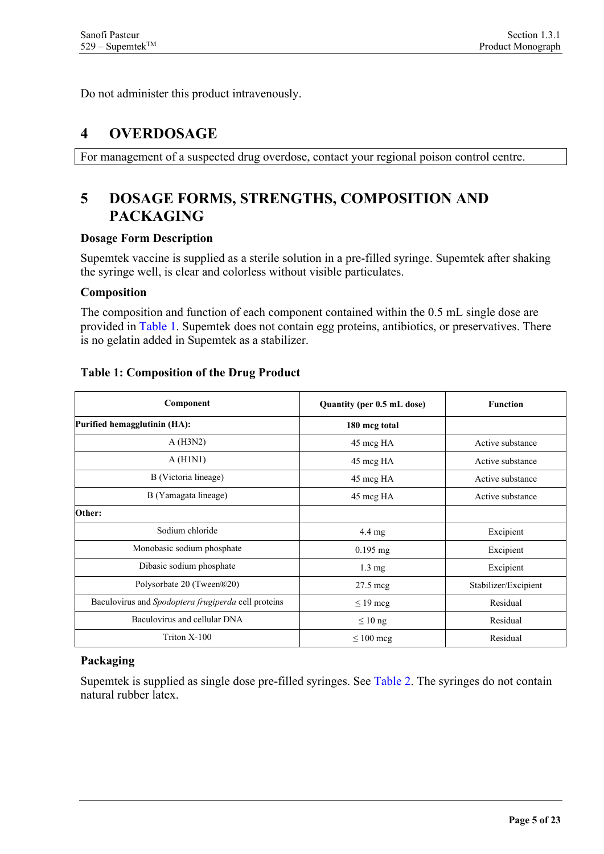<span id="page-4-0"></span>Do not administer this product intravenously.

### **4 OVERDOSAGE**

<span id="page-4-1"></span>For management of a suspected drug overdose, contact your regional poison control centre.

# **5 DOSAGE FORMS, STRENGTHS, COMPOSITION AND PACKAGING**

#### **Dosage Form Description**

Supemtek vaccine is supplied as a sterile solution in a pre-filled syringe. Supemtek after shaking the syringe well, is clear and colorless without visible particulates.

#### **Composition**

The composition and function of each component contained within the 0.5 mL single dose are provided in [Table 1.](#page-4-2) Supemtek does not contain egg proteins, antibiotics, or preservatives. There is no gelatin added in Supemtek as a stabilizer.

| Component                                           | Quantity (per 0.5 mL dose) | <b>Function</b>      |
|-----------------------------------------------------|----------------------------|----------------------|
| Purified hemagglutinin (HA):                        | 180 mcg total              |                      |
| A(H3N2)                                             | 45 mcg HA                  | Active substance     |
| A(H1N1)                                             | 45 mcg HA                  | Active substance     |
| B (Victoria lineage)                                | 45 mcg HA                  | Active substance     |
| B (Yamagata lineage)                                | 45 mcg HA                  | Active substance     |
| Other:                                              |                            |                      |
| Sodium chloride                                     | $4.4 \text{ mg}$           | Excipient            |
| Monobasic sodium phosphate                          | $0.195$ mg                 | Excipient            |
| Dibasic sodium phosphate                            | $1.3 \text{ mg}$           | Excipient            |
| Polysorbate 20 (Tween®20)                           | $27.5 \text{~meg}$         | Stabilizer/Excipient |
| Baculovirus and Spodoptera frugiperda cell proteins | $\leq$ 19 mcg              | Residual             |
| Baculovirus and cellular DNA                        | $\leq 10$ ng               | Residual             |
| Triton X-100                                        | $\leq 100$ mcg             | Residual             |

#### <span id="page-4-2"></span>**Table 1: Composition of the Drug Product**

### **Packaging**

Supemtek is supplied as single dose pre-filled syringes. See [Table 2.](#page-5-2) The syringes do not contain natural rubber latex.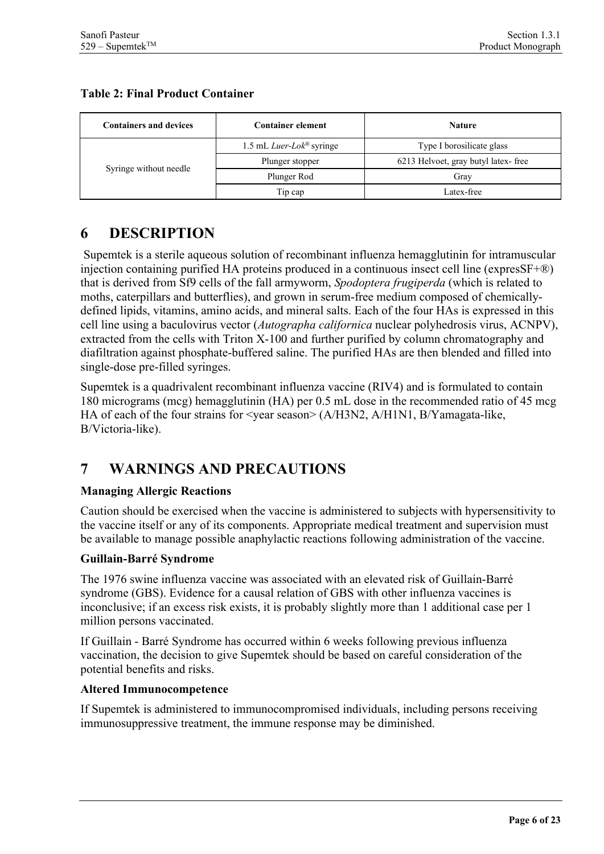#### <span id="page-5-2"></span>**Table 2: Final Product Container**

| <b>Containers and devices</b> | <b>Container element</b>                    | <b>Nature</b>                       |  |
|-------------------------------|---------------------------------------------|-------------------------------------|--|
|                               | 1.5 mL <i>Luer-Lok</i> <sup>®</sup> syringe | Type I borosilicate glass           |  |
|                               | Plunger stopper                             | 6213 Helvoet, gray butyl latex-free |  |
| Syringe without needle        | Plunger Rod                                 | Grav                                |  |
|                               | Tip cap                                     | Latex-free                          |  |

# <span id="page-5-0"></span>**6 DESCRIPTION**

Supemtek is a sterile aqueous solution of recombinant influenza hemagglutinin for intramuscular injection containing purified HA proteins produced in a continuous insect cell line (expresSF+®) that is derived from Sf9 cells of the fall armyworm, *Spodoptera frugiperda* (which is related to moths, caterpillars and butterflies), and grown in serum-free medium composed of chemicallydefined lipids, vitamins, amino acids, and mineral salts. Each of the four HAs is expressed in this cell line using a baculovirus vector (*Autographa californica* nuclear polyhedrosis virus, ACNPV), extracted from the cells with Triton X-100 and further purified by column chromatography and diafiltration against phosphate-buffered saline. The purified HAs are then blended and filled into single-dose pre-filled syringes.

Supemtek is a quadrivalent recombinant influenza vaccine (RIV4) and is formulated to contain 180 micrograms (mcg) hemagglutinin (HA) per 0.5 mL dose in the recommended ratio of 45 mcg HA of each of the four strains for <year season> (A/H3N2, A/H1N1, B/Yamagata-like, B/Victoria-like).

# <span id="page-5-1"></span>**7 WARNINGS AND PRECAUTIONS**

#### **Managing Allergic Reactions**

Caution should be exercised when the vaccine is administered to subjects with hypersensitivity to the vaccine itself or any of its components. Appropriate medical treatment and supervision must be available to manage possible anaphylactic reactions following administration of the vaccine.

#### **Guillain-Barré Syndrome**

The 1976 swine influenza vaccine was associated with an elevated risk of Guillain-Barré syndrome (GBS). Evidence for a causal relation of GBS with other influenza vaccines is inconclusive; if an excess risk exists, it is probably slightly more than 1 additional case per 1 million persons vaccinated.

If Guillain - Barré Syndrome has occurred within 6 weeks following previous influenza vaccination, the decision to give Supemtek should be based on careful consideration of the potential benefits and risks.

#### **Altered Immunocompetence**

If Supemtek is administered to immunocompromised individuals, including persons receiving immunosuppressive treatment, the immune response may be diminished.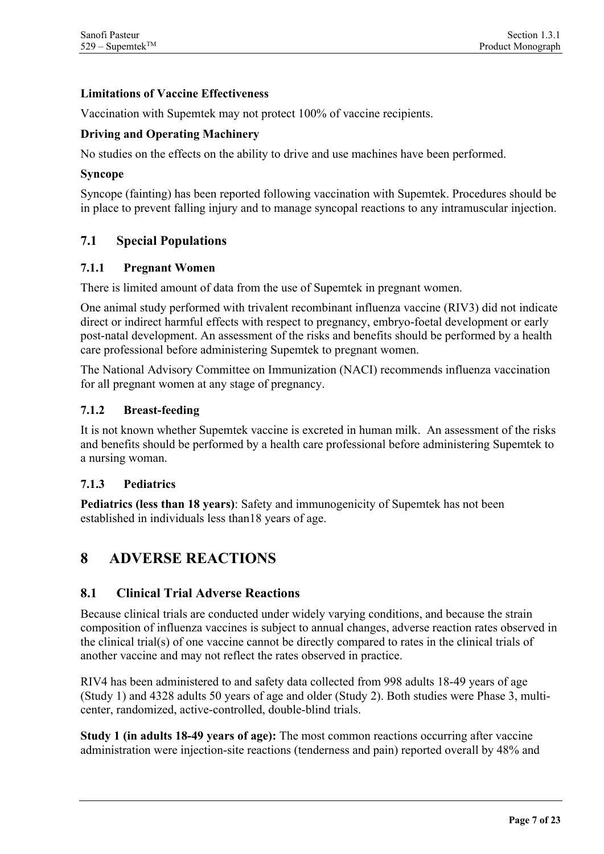#### **Limitations of Vaccine Effectiveness**

Vaccination with Supemtek may not protect 100% of vaccine recipients.

#### **Driving and Operating Machinery**

No studies on the effects on the ability to drive and use machines have been performed.

#### **Syncope**

Syncope (fainting) has been reported following vaccination with Supemtek. Procedures should be in place to prevent falling injury and to manage syncopal reactions to any intramuscular injection.

#### <span id="page-6-0"></span>**7.1 Special Populations**

#### <span id="page-6-1"></span>**7.1.1 Pregnant Women**

There is limited amount of data from the use of Supemtek in pregnant women.

One animal study performed with trivalent recombinant influenza vaccine (RIV3) did not indicate direct or indirect harmful effects with respect to pregnancy, embryo-foetal development or early post-natal development. An assessment of the risks and benefits should be performed by a health care professional before administering Supemtek to pregnant women.

The National Advisory Committee on Immunization (NACI) recommends influenza vaccination for all pregnant women at any stage of pregnancy.

#### <span id="page-6-2"></span>**7.1.2 Breast-feeding**

It is not known whether Supemtek vaccine is excreted in human milk. An assessment of the risks and benefits should be performed by a health care professional before administering Supemtek to a nursing woman.

#### <span id="page-6-3"></span>**7.1.3 Pediatrics**

**Pediatrics (less than 18 years)**: Safety and immunogenicity of Supemtek has not been established in individuals less than18 years of age.

### <span id="page-6-4"></span>**8 ADVERSE REACTIONS**

#### <span id="page-6-5"></span>**8.1 Clinical Trial Adverse Reactions**

Because clinical trials are conducted under widely varying conditions, and because the strain composition of influenza vaccines is subject to annual changes, adverse reaction rates observed in the clinical trial(s) of one vaccine cannot be directly compared to rates in the clinical trials of another vaccine and may not reflect the rates observed in practice.

RIV4 has been administered to and safety data collected from 998 adults 18-49 years of age (Study 1) and 4328 adults 50 years of age and older (Study 2). Both studies were Phase 3, multicenter, randomized, active-controlled, double-blind trials.

**Study 1 (in adults 18-49 years of age):** The most common reactions occurring after vaccine administration were injection-site reactions (tenderness and pain) reported overall by 48% and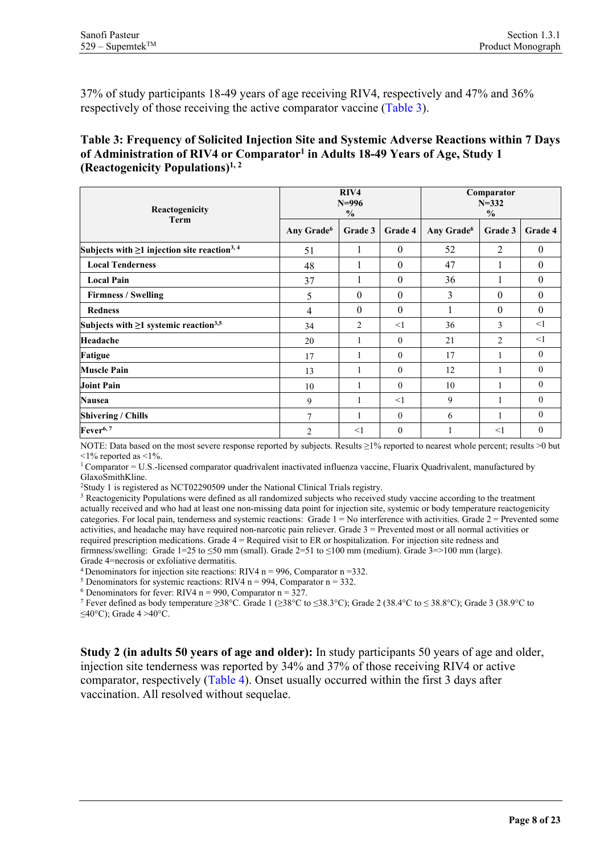37% of study participants 18-49 years of age receiving RIV4, respectively and 47% and 36% respectively of those receiving the active comparator vaccine [\(Table 3\)](#page-7-0).

#### <span id="page-7-0"></span>**Table 3: Frequency of Solicited Injection Site and Systemic Adverse Reactions within 7 Days of Administration of RIV4 or Comparator1 in Adults 18-49 Years of Age, Study 1 (Reactogenicity Populations)1, 2**

| Reactogenicity                                                 | RIV4<br>$N = 996$<br>$\frac{0}{0}$ |          |                  | Comparator<br>$N = 332$<br>$\frac{0}{0}$ |                |                  |
|----------------------------------------------------------------|------------------------------------|----------|------------------|------------------------------------------|----------------|------------------|
| <b>Term</b>                                                    | Any Grade <sup>6</sup>             | Grade 3  | Grade 4          | Any Grade <sup>6</sup>                   | Grade 3        | Grade 4          |
| Subjects with $\geq 1$ injection site reaction <sup>3, 4</sup> | 51                                 | 1        | $\theta$         | 52                                       | 2              | $\mathbf{0}$     |
| <b>Local Tenderness</b>                                        | 48                                 |          | $\mathbf{0}$     | 47                                       |                | $\boldsymbol{0}$ |
| <b>Local Pain</b>                                              | 37                                 | -1       | $\theta$         | 36                                       |                | $\boldsymbol{0}$ |
| <b>Firmness / Swelling</b>                                     | 5                                  | $\theta$ | $\theta$         | 3                                        | $\theta$       | $\theta$         |
| <b>Redness</b>                                                 | 4                                  | $\theta$ | $\boldsymbol{0}$ |                                          | $\theta$       | $\boldsymbol{0}$ |
| Subjects with $\geq 1$ systemic reaction <sup>3,5</sup>        | 34                                 | 2        | $\leq$ 1         | 36                                       | 3              | $\leq$ 1         |
| Headache                                                       | 20                                 | 1        | $\theta$         | 21                                       | $\overline{2}$ | <1               |
| <b>Fatigue</b>                                                 | 17                                 | 1        | $\theta$         | 17                                       |                | $\mathbf{0}$     |
| <b>Muscle Pain</b>                                             | 13                                 |          | $\theta$         | 12                                       |                | $\mathbf{0}$     |
| <b>Joint Pain</b>                                              | 10                                 |          | $\mathbf{0}$     | 10                                       |                | $\mathbf{0}$     |
| <b>Nausea</b>                                                  | 9                                  | 1        | $\leq$ 1         | 9                                        |                | $\mathbf{0}$     |
| <b>Shivering / Chills</b>                                      | $\overline{7}$                     | 1        | $\mathbf{0}$     | 6                                        |                | $\mathbf{0}$     |
| Fever <sup>6,7</sup>                                           | $\overline{2}$                     | $<$ 1    | $\mathbf{0}$     |                                          | $\leq$ 1       | $\mathbf{0}$     |

NOTE: Data based on the most severe response reported by subjects. Results ≥1% reported to nearest whole percent; results >0 but  $\leq$ 1% reported as  $\leq$ 1%.

1 Comparator = U.S.-licensed comparator quadrivalent inactivated influenza vaccine, Fluarix Quadrivalent, manufactured by GlaxoSmithKline.

<sup>2</sup>Study 1 is registered as NCT02290509 under the National Clinical Trials registry.

<sup>3</sup> Reactogenicity Populations were defined as all randomized subjects who received study vaccine according to the treatment actually received and who had at least one non-missing data point for injection site, systemic or body temperature reactogenicity categories. For local pain, tenderness and systemic reactions: Grade  $1 = No$  interference with activities. Grade  $2 =$  Prevented some activities, and headache may have required non-narcotic pain reliever. Grade 3 = Prevented most or all normal activities or required prescription medications. Grade 4 = Required visit to ER or hospitalization. For injection site redness and firmness/swelling: Grade 1=25 to  $\leq$ 50 mm (small). Grade 2=51 to  $\leq$ 100 mm (medium). Grade 3=>100 mm (large). Grade 4=necrosis or exfoliative dermatitis.

<sup>4</sup> Denominators for injection site reactions: RIV4 n = 996, Comparator n = 332.<br><sup>5</sup> Denominators for systemic reactions: RIV4 n = 994, Comparator n = 332.<br><sup>6</sup> Denominators for fever: RIV4 n = 990, Comparator n = 327.

<sup>6</sup> Denominators for fever: RIV4 n = 990, Comparator n = 327. 7 Fever defined as body temperature ≥38°C. Grade 1 (≥38°C to ≤38.3°C); Grade 2 (38.4°C to ≤ 38.8°C); Grade 3 (38.9°C to ≤40°C); Grade 4 >40°C.

**Study 2 (in adults 50 years of age and older):** In study participants 50 years of age and older, injection site tenderness was reported by 34% and 37% of those receiving RIV4 or active comparator, respectively [\(Table 4\)](#page-8-0). Onset usually occurred within the first 3 days after vaccination. All resolved without sequelae.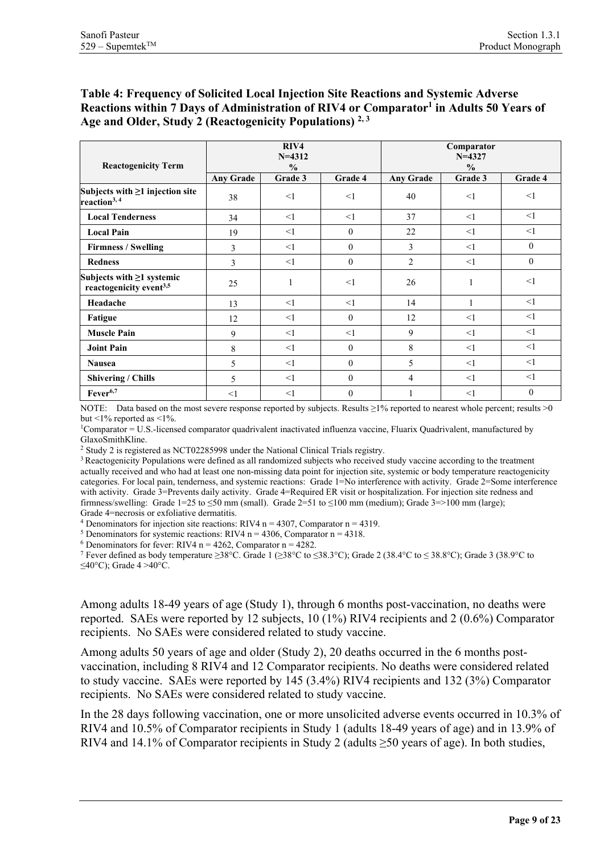#### <span id="page-8-0"></span>**Table 4: Frequency of Solicited Local Injection Site Reactions and Systemic Adverse Reactions within 7 Days of Administration of RIV4 or Comparator1 in Adults 50 Years of Age and Older, Study 2 (Reactogenicity Populations) 2, 3**

| <b>Reactogenicity Term</b>                                             | RIV4<br>$N = 4312$<br>$\frac{0}{0}$ |          |          | Comparator<br>$N = 4327$<br>$\frac{0}{0}$ |          |              |  |
|------------------------------------------------------------------------|-------------------------------------|----------|----------|-------------------------------------------|----------|--------------|--|
|                                                                        | <b>Any Grade</b>                    | Grade 3  | Grade 4  | <b>Any Grade</b>                          | Grade 3  | Grade 4      |  |
| Subjects with $\geq 1$ injection site<br>reaction <sup>3, 4</sup>      | 38                                  | <1       | $\leq$ 1 | 40                                        | $\leq$ 1 | <1           |  |
| <b>Local Tenderness</b>                                                | 34                                  | $\leq$ 1 | <1       | 37                                        | $\leq$ 1 | <1           |  |
| <b>Local Pain</b>                                                      | 19                                  | <1       | $\theta$ | 22                                        | <1       | <1           |  |
| <b>Firmness / Swelling</b>                                             | 3                                   | <1       | $\theta$ | 3                                         | <1       | $\theta$     |  |
| <b>Redness</b>                                                         | 3                                   | <1       | $\theta$ | $\overline{c}$                            | <1       | $\theta$     |  |
| Subjects with $\geq 1$ systemic<br>reactogenicity event <sup>3,5</sup> | 25                                  | 1        | $\leq$ 1 | 26                                        | 1        | <1           |  |
| Headache                                                               | 13                                  | <1       | $\leq$ 1 | 14                                        | 1        | <1           |  |
| Fatigue                                                                | 12                                  | <1       | $\theta$ | 12                                        | <1       | $\leq$ 1     |  |
| <b>Muscle Pain</b>                                                     | 9                                   | <1       | <1       | 9                                         | <1       | <1           |  |
| <b>Joint Pain</b>                                                      | 8                                   | $\leq$ 1 | $\theta$ | 8                                         | $\leq$ 1 | <1           |  |
| <b>Nausea</b>                                                          | 5                                   | <1       | $\theta$ | 5                                         | $\leq$ 1 | <1           |  |
| <b>Shivering / Chills</b>                                              | 5                                   | <1       | $\theta$ | 4                                         | $\leq$ 1 | <1           |  |
| Fever <sup>6,7</sup>                                                   | $<$ 1                               | <1       | $\theta$ |                                           | <1       | $\mathbf{0}$ |  |

NOTE: Data based on the most severe response reported by subjects. Results ≥1% reported to nearest whole percent; results >0 but  $\leq$ 1% reported as  $\leq$ 1%.

 $1$ Comparator = U.S.-licensed comparator quadrivalent inactivated influenza vaccine. Fluarix Quadrivalent, manufactured by GlaxoSmithKline.

<sup>2</sup> Study 2 is registered as NCT02285998 under the National Clinical Trials registry.

<sup>3</sup> Reactogenicity Populations were defined as all randomized subjects who received study vaccine according to the treatment actually received and who had at least one non-missing data point for injection site, systemic or body temperature reactogenicity categories. For local pain, tenderness, and systemic reactions: Grade 1=No interference with activity. Grade 2=Some interference with activity. Grade 3=Prevents daily activity. Grade 4=Required ER visit or hospitalization. For injection site redness and firmness/swelling: Grade 1=25 to  $\leq$ 50 mm (small). Grade 2=51 to  $\leq$ 100 mm (medium); Grade 3=>100 mm (large);

Grade 4=necrosis or exfoliative dermatitis.<br><sup>4</sup> Denominators for injection site reactions: RIV4 n = 4307, Comparator n = 4319.

<sup>5</sup> Denominators for systemic reactions: RIV4 n = 4306, Comparator n = 4318.

<sup>6</sup> Denominators for fever: RIV4 n = 4262, Comparator n = 4282.

<sup>7</sup> Fever defined as body temperature ≥38°C. Grade 1 (≥38°C to ≤38.3°C); Grade 2 (38.4°C to ≤ 38.8°C); Grade 3 (38.9°C to ≤40°C); Grade 4 >40°C.

Among adults 18-49 years of age (Study 1), through 6 months post-vaccination, no deaths were reported. SAEs were reported by 12 subjects, 10 (1%) RIV4 recipients and 2 (0.6%) Comparator recipients. No SAEs were considered related to study vaccine.

Among adults 50 years of age and older (Study 2), 20 deaths occurred in the 6 months postvaccination, including 8 RIV4 and 12 Comparator recipients. No deaths were considered related to study vaccine. SAEs were reported by 145 (3.4%) RIV4 recipients and 132 (3%) Comparator recipients. No SAEs were considered related to study vaccine.

In the 28 days following vaccination, one or more unsolicited adverse events occurred in 10.3% of RIV4 and 10.5% of Comparator recipients in Study 1 (adults 18-49 years of age) and in 13.9% of RIV4 and 14.1% of Comparator recipients in Study 2 (adults ≥50 years of age). In both studies,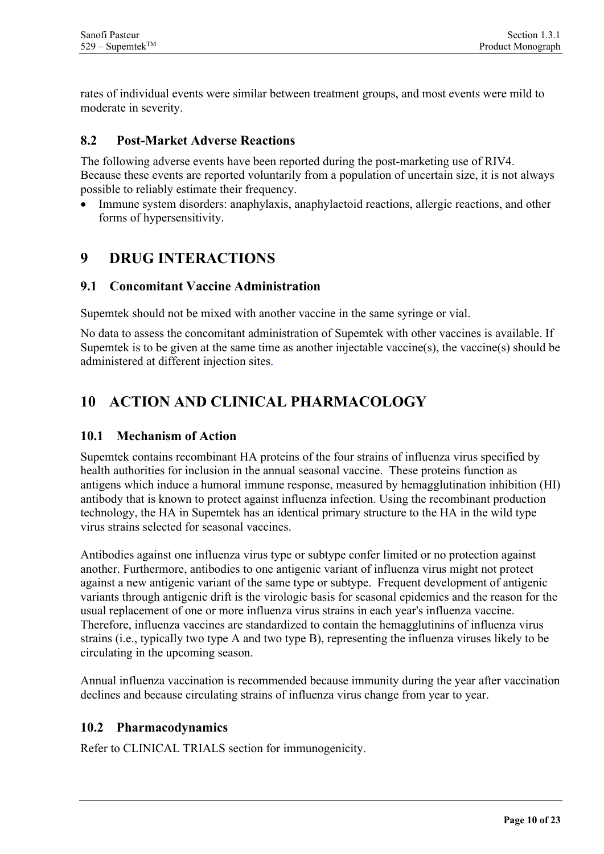rates of individual events were similar between treatment groups, and most events were mild to moderate in severity.

#### <span id="page-9-0"></span>**8.2 Post-Market Adverse Reactions**

The following adverse events have been reported during the post-marketing use of RIV4. Because these events are reported voluntarily from a population of uncertain size, it is not always possible to reliably estimate their frequency.

Immune system disorders: anaphylaxis, anaphylactoid reactions, allergic reactions, and other forms of hypersensitivity.

### <span id="page-9-1"></span>**9 DRUG INTERACTIONS**

#### <span id="page-9-2"></span>**9.1 Concomitant Vaccine Administration**

Supemtek should not be mixed with another vaccine in the same syringe or vial.

No data to assess the concomitant administration of Supemtek with other vaccines is available. If Supemtek is to be given at the same time as another injectable vaccine(s), the vaccine(s) should be administered at different injection sites.

# <span id="page-9-3"></span>**10 ACTION AND CLINICAL PHARMACOLOGY**

#### <span id="page-9-4"></span>**10.1 Mechanism of Action**

Supemtek contains recombinant HA proteins of the four strains of influenza virus specified by health authorities for inclusion in the annual seasonal vaccine. These proteins function as antigens which induce a humoral immune response, measured by hemagglutination inhibition (HI) antibody that is known to protect against influenza infection. Using the recombinant production technology, the HA in Supemtek has an identical primary structure to the HA in the wild type virus strains selected for seasonal vaccines.

Antibodies against one influenza virus type or subtype confer limited or no protection against another. Furthermore, antibodies to one antigenic variant of influenza virus might not protect against a new antigenic variant of the same type or subtype. Frequent development of antigenic variants through antigenic drift is the virologic basis for seasonal epidemics and the reason for the usual replacement of one or more influenza virus strains in each year's influenza vaccine. Therefore, influenza vaccines are standardized to contain the hemagglutinins of influenza virus strains (i.e., typically two type A and two type B), representing the influenza viruses likely to be circulating in the upcoming season.

Annual influenza vaccination is recommended because immunity during the year after vaccination declines and because circulating strains of influenza virus change from year to year.

### <span id="page-9-5"></span>**10.2 Pharmacodynamics**

Refer to CLINICAL TRIALS section for immunogenicity.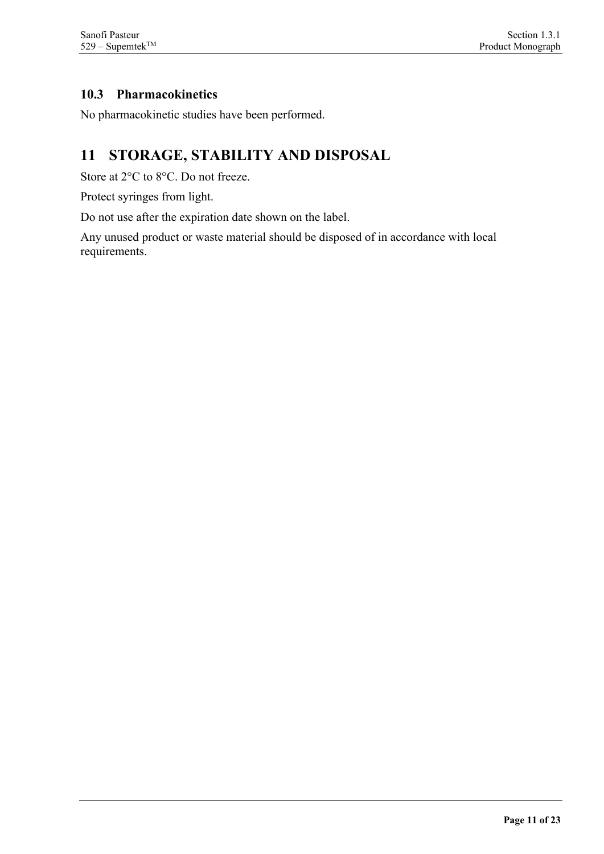### <span id="page-10-0"></span>**10.3 Pharmacokinetics**

<span id="page-10-1"></span>No pharmacokinetic studies have been performed.

# **11 STORAGE, STABILITY AND DISPOSAL**

Store at 2°C to 8°C. Do not freeze.

Protect syringes from light.

Do not use after the expiration date shown on the label.

Any unused product or waste material should be disposed of in accordance with local requirements.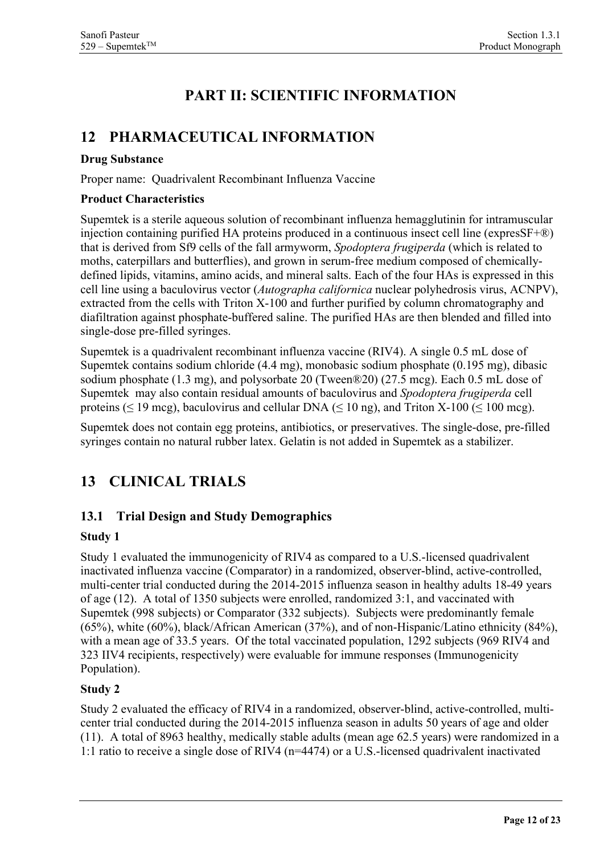# **PART II: SCIENTIFIC INFORMATION**

## <span id="page-11-1"></span><span id="page-11-0"></span>**12 PHARMACEUTICAL INFORMATION**

#### **Drug Substance**

Proper name: Quadrivalent Recombinant Influenza Vaccine

#### **Product Characteristics**

Supemtek is a sterile aqueous solution of recombinant influenza hemagglutinin for intramuscular injection containing purified HA proteins produced in a continuous insect cell line (expresSF+®) that is derived from Sf9 cells of the fall armyworm, *Spodoptera frugiperda* (which is related to moths, caterpillars and butterflies), and grown in serum-free medium composed of chemicallydefined lipids, vitamins, amino acids, and mineral salts. Each of the four HAs is expressed in this cell line using a baculovirus vector (*Autographa californica* nuclear polyhedrosis virus, ACNPV), extracted from the cells with Triton X-100 and further purified by column chromatography and diafiltration against phosphate-buffered saline. The purified HAs are then blended and filled into single-dose pre-filled syringes.

Supemtek is a quadrivalent recombinant influenza vaccine (RIV4). A single 0.5 mL dose of Supemtek contains sodium chloride (4.4 mg), monobasic sodium phosphate (0.195 mg), dibasic sodium phosphate (1.3 mg), and polysorbate 20 (Tween®20) (27.5 mcg). Each 0.5 mL dose of Supemtek may also contain residual amounts of baculovirus and *Spodoptera frugiperda* cell proteins ( $\leq$  19 mcg), baculovirus and cellular DNA ( $\leq$  10 ng), and Triton X-100 ( $\leq$  100 mcg).

Supemtek does not contain egg proteins, antibiotics, or preservatives. The single-dose, pre-filled syringes contain no natural rubber latex. Gelatin is not added in Supemtek as a stabilizer.

# <span id="page-11-2"></span>**13 CLINICAL TRIALS**

### <span id="page-11-3"></span>**13.1 Trial Design and Study Demographics**

#### **Study 1**

Study 1 evaluated the immunogenicity of RIV4 as compared to a U.S.-licensed quadrivalent inactivated influenza vaccine (Comparator) in a randomized, observer-blind, active-controlled, multi-center trial conducted during the 2014-2015 influenza season in healthy adults 18-49 years of age (12). A total of 1350 subjects were enrolled, randomized 3:1, and vaccinated with Supemtek (998 subjects) or Comparator (332 subjects). Subjects were predominantly female (65%), white (60%), black/African American (37%), and of non-Hispanic/Latino ethnicity (84%), with a mean age of 33.5 years. Of the total vaccinated population, 1292 subjects (969 RIV4 and 323 IIV4 recipients, respectively) were evaluable for immune responses (Immunogenicity Population).

#### **Study 2**

Study 2 evaluated the efficacy of RIV4 in a randomized, observer-blind, active-controlled, multicenter trial conducted during the 2014-2015 influenza season in adults 50 years of age and older (11). A total of 8963 healthy, medically stable adults (mean age 62.5 years) were randomized in a 1:1 ratio to receive a single dose of RIV4 (n=4474) or a U.S.-licensed quadrivalent inactivated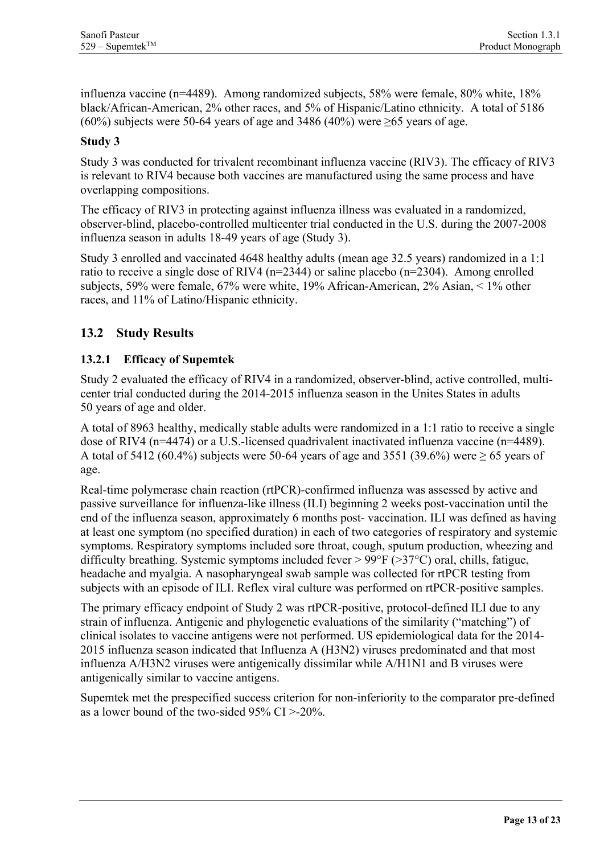influenza vaccine (n=4489). Among randomized subjects, 58% were female, 80% white, 18% black/African-American, 2% other races, and 5% of Hispanic/Latino ethnicity. A total of 5186 (60%) subjects were 50-64 years of age and 3486 (40%) were  $\geq$ 65 years of age.

### **Study 3**

Study 3 was conducted for trivalent recombinant influenza vaccine (RIV3). The efficacy of RIV3 is relevant to RIV4 because both vaccines are manufactured using the same process and have overlapping compositions.

The efficacy of RIV3 in protecting against influenza illness was evaluated in a randomized, observer-blind, placebo-controlled multicenter trial conducted in the U.S. during the 2007-2008 influenza season in adults 18-49 years of age (Study 3).

Study 3 enrolled and vaccinated 4648 healthy adults (mean age 32.5 years) randomized in a 1:1 ratio to receive a single dose of RIV4 (n=2344) or saline placebo (n=2304). Among enrolled subjects, 59% were female, 67% were white, 19% African-American, 2% Asian, < 1% other races, and 11% of Latino/Hispanic ethnicity.

### <span id="page-12-0"></span>**13.2 Study Results**

### <span id="page-12-1"></span>**13.2.1 Efficacy of Supemtek**

Study 2 evaluated the efficacy of RIV4 in a randomized, observer-blind, active controlled, multicenter trial conducted during the 2014-2015 influenza season in the Unites States in adults 50 years of age and older.

A total of 8963 healthy, medically stable adults were randomized in a 1:1 ratio to receive a single dose of RIV4 (n=4474) or a U.S.-licensed quadrivalent inactivated influenza vaccine (n=4489). A total of 5412 (60.4%) subjects were 50-64 years of age and 3551 (39.6%) were  $\geq$  65 years of age.

Real-time polymerase chain reaction (rtPCR)-confirmed influenza was assessed by active and passive surveillance for influenza-like illness (ILI) beginning 2 weeks post-vaccination until the end of the influenza season, approximately 6 months post- vaccination. ILI was defined as having at least one symptom (no specified duration) in each of two categories of respiratory and systemic symptoms. Respiratory symptoms included sore throat, cough, sputum production, wheezing and difficulty breathing. Systemic symptoms included fever > 99°F (>37°C) oral, chills, fatigue, headache and myalgia. A nasopharyngeal swab sample was collected for rtPCR testing from subjects with an episode of ILI. Reflex viral culture was performed on rtPCR-positive samples.

The primary efficacy endpoint of Study 2 was rtPCR-positive, protocol-defined ILI due to any strain of influenza. Antigenic and phylogenetic evaluations of the similarity ("matching") of clinical isolates to vaccine antigens were not performed. US epidemiological data for the 2014- 2015 influenza season indicated that Influenza A (H3N2) viruses predominated and that most influenza A/H3N2 viruses were antigenically dissimilar while A/H1N1 and B viruses were antigenically similar to vaccine antigens.

Supemtek met the prespecified success criterion for non-inferiority to the comparator pre-defined as a lower bound of the two-sided 95% CI >-20%.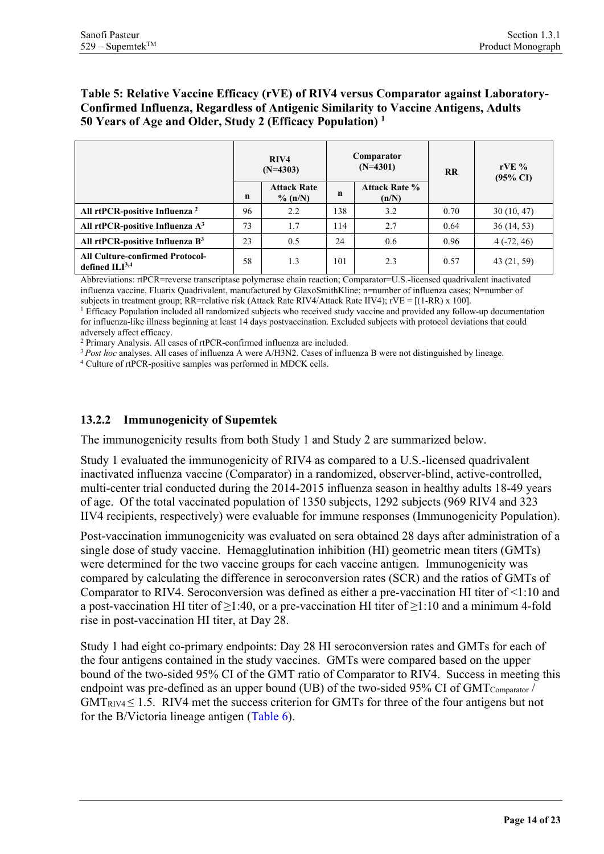#### **Table 5: Relative Vaccine Efficacy (rVE) of RIV4 versus Comparator against Laboratory-Confirmed Influenza, Regardless of Antigenic Similarity to Vaccine Antigens, Adults 50 Years of Age and Older, Study 2 (Efficacy Population) 1**

|                                                            |    | RIV4<br>$(N=4303)$               |     | Comparator<br>$(N=4301)$      | <b>RR</b> | rVE $%$<br>$(95\% \text{ CI})$ |
|------------------------------------------------------------|----|----------------------------------|-----|-------------------------------|-----------|--------------------------------|
|                                                            | n  | <b>Attack Rate</b><br>$\%$ (n/N) | n   | <b>Attack Rate %</b><br>(n/N) |           |                                |
| All rtPCR-positive Influenza <sup>2</sup>                  | 96 | 2.2                              | 138 | 3.2                           | 0.70      | 30(10, 47)                     |
| All rtPCR-positive Influenza A <sup>3</sup>                | 73 | 1.7                              | 14  | 2.7                           | 0.64      | 36(14, 53)                     |
| All rtPCR-positive Influenza B <sup>3</sup>                | 23 | 0.5                              | 24  | 0.6                           | 0.96      | $4(-72, 46)$                   |
| <b>All Culture-confirmed Protocol-</b><br>defined $ILI3,4$ | 58 | 1.3                              | 101 | 2.3                           | 0.57      | 43 (21, 59)                    |

Abbreviations: rtPCR=reverse transcriptase polymerase chain reaction; Comparator=U.S.-licensed quadrivalent inactivated influenza vaccine, Fluarix Quadrivalent, manufactured by GlaxoSmithKline; n=number of influenza cases; N=number of

subjects in treatment group; RR=relative risk (Attack Rate RIV4/Attack Rate IIV4);  $rVE = [(1-RR)x 100]$ .<br><sup>1</sup> Efficacy Population included all randomized subjects who received study vaccine and provided any follow-up documentat for influenza-like illness beginning at least 14 days postvaccination. Excluded subjects with protocol deviations that could adversely affect efficacy.

<sup>2</sup> Primary Analysis. All cases of rtPCR-confirmed influenza are included.

<sup>3</sup> Post hoc analyses. All cases of influenza A were A/H3N2. Cases of influenza B were not distinguished by lineage. <sup>4</sup> Culture of rtPCR-positive samples was performed in MDCK cells.

#### <span id="page-13-0"></span>**13.2.2 Immunogenicity of Supemtek**

The immunogenicity results from both Study 1 and Study 2 are summarized below.

Study 1 evaluated the immunogenicity of RIV4 as compared to a U.S.-licensed quadrivalent inactivated influenza vaccine (Comparator) in a randomized, observer-blind, active-controlled, multi-center trial conducted during the 2014-2015 influenza season in healthy adults 18-49 years of age. Of the total vaccinated population of 1350 subjects, 1292 subjects (969 RIV4 and 323 IIV4 recipients, respectively) were evaluable for immune responses (Immunogenicity Population).

Post-vaccination immunogenicity was evaluated on sera obtained 28 days after administration of a single dose of study vaccine. Hemagglutination inhibition (HI) geometric mean titers (GMTs) were determined for the two vaccine groups for each vaccine antigen. Immunogenicity was compared by calculating the difference in seroconversion rates (SCR) and the ratios of GMTs of Comparator to RIV4. Seroconversion was defined as either a pre-vaccination HI titer of <1:10 and a post-vaccination HI titer of  $\geq$ 1:40, or a pre-vaccination HI titer of  $\geq$ 1:10 and a minimum 4-fold rise in post-vaccination HI titer, at Day 28.

Study 1 had eight co-primary endpoints: Day 28 HI seroconversion rates and GMTs for each of the four antigens contained in the study vaccines. GMTs were compared based on the upper bound of the two-sided 95% CI of the GMT ratio of Comparator to RIV4. Success in meeting this endpoint was pre-defined as an upper bound (UB) of the two-sided 95% CI of  $GMT_{Comparator}$ /  $GMT_{RIV4} \leq 1.5$ . RIV4 met the success criterion for GMTs for three of the four antigens but not for the B/Victoria lineage antigen [\(Table 6\)](#page-14-0).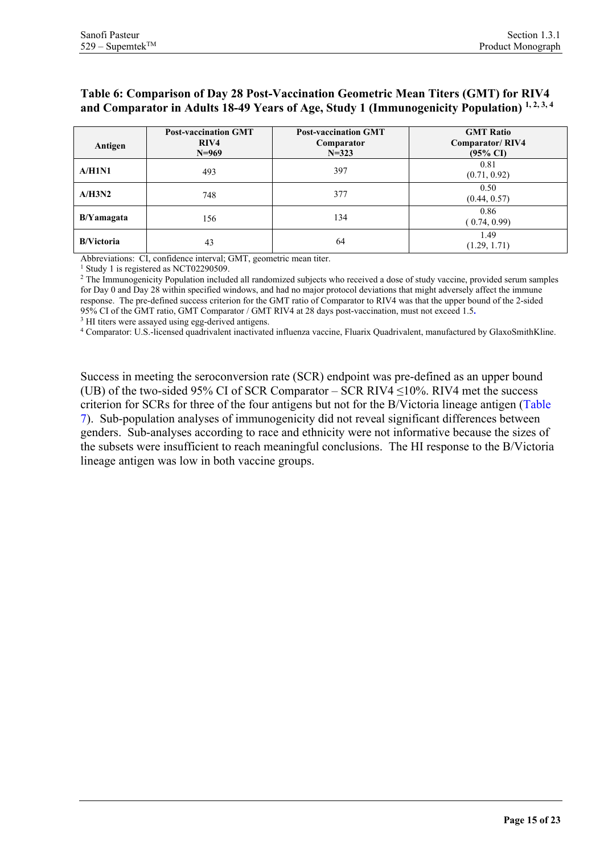#### <span id="page-14-0"></span>**Table 6: Comparison of Day 28 Post-Vaccination Geometric Mean Titers (GMT) for RIV4**  and Comparator in Adults 18-49 Years of Age, Study 1 (Immunogenicity Population)<sup>1,2,3,4</sup>

| Antigen           | <b>Post-vaccination GMT</b><br>RIV4<br>$N=969$ | <b>Post-vaccination GMT</b><br>Comparator<br>$N = 323$ | <b>GMT Ratio</b><br>Comparator/RIV4<br>$(95\% \text{ CI})$ |
|-------------------|------------------------------------------------|--------------------------------------------------------|------------------------------------------------------------|
| A/H1N1            | 493                                            | 397                                                    | 0.81<br>(0.71, 0.92)                                       |
| A/H3N2            | 748                                            | 377                                                    | 0.50<br>(0.44, 0.57)                                       |
| B/Yamagata        | 156                                            | 134                                                    | 0.86<br>(0.74, 0.99)                                       |
| <b>B/Victoria</b> | 43                                             | 64                                                     | 1.49<br>(1.29, 1.71)                                       |

Abbreviations: CI, confidence interval; GMT, geometric mean titer.

<sup>1</sup> Study 1 is registered as NCT02290509.

<sup>2</sup> The Immunogenicity Population included all randomized subjects who received a dose of study vaccine, provided serum samples for Day 0 and Day 28 within specified windows, and had no major protocol deviations that might adversely affect the immune response. The pre-defined success criterion for the GMT ratio of Comparator to RIV4 was that the upper bound of the 2-sided 95% CI of the GMT ratio, GMT Comparator / GMT RIV4 at 28 days post-vaccination, must not exceed 1.5**.**

<sup>3</sup> HI titers were assayed using egg-derived antigens.<br><sup>4</sup> Comparator: U.S.-licensed quadrivalent inactivated influenza vaccine, Fluarix Quadrivalent, manufactured by GlaxoSmithKline.

Success in meeting the seroconversion rate (SCR) endpoint was pre-defined as an upper bound (UB) of the two-sided 95% CI of SCR Comparator – SCR RIV4  $\leq$ 10%. RIV4 met the success criterion for SCRs for three of the four antigens but not for the B/Victoria lineage antigen [\(Table](#page-15-0)  [7\)](#page-15-0). Sub-population analyses of immunogenicity did not reveal significant differences between genders. Sub-analyses according to race and ethnicity were not informative because the sizes of the subsets were insufficient to reach meaningful conclusions. The HI response to the B/Victoria lineage antigen was low in both vaccine groups.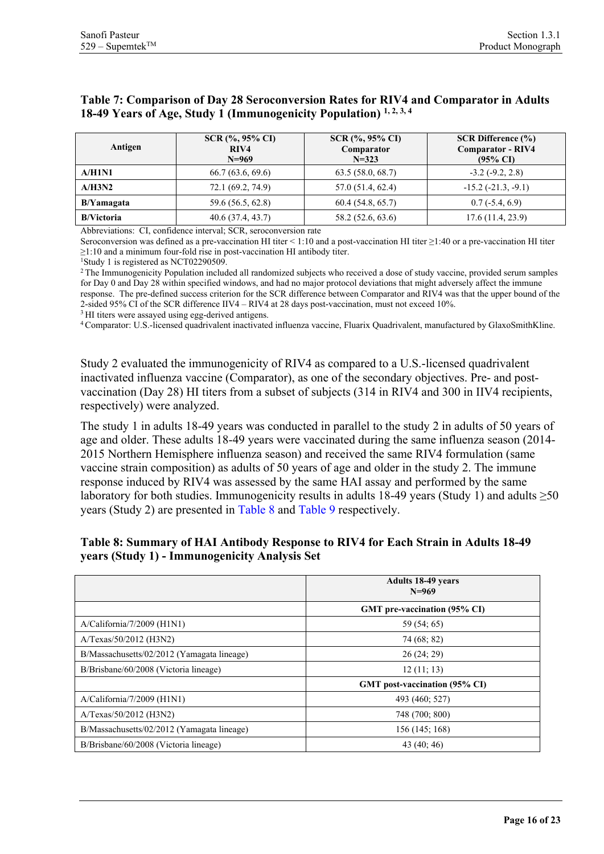#### <span id="page-15-0"></span>**Table 7: Comparison of Day 28 Seroconversion Rates for RIV4 and Comparator in Adults 18-49 Years of Age, Study 1 (Immunogenicity Population) 1, 2, 3, 4**

| Antigen           | $SCR(%, 95\% CI)$<br>RIV4<br>$N=969$ | $SCR(%, 95\% CI)$<br>Comparator<br>$N = 323$ | <b>SCR Difference <math>(\% )</math></b><br><b>Comparator - RIV4</b><br>$(95\% \text{ CI})$ |
|-------------------|--------------------------------------|----------------------------------------------|---------------------------------------------------------------------------------------------|
| A/H1N1            | 66.7(63.6, 69.6)                     | 63.5(58.0, 68.7)                             | $-3.2$ ( $-9.2$ , $2.8$ )                                                                   |
| A/H3N2            | 72.1 (69.2, 74.9)                    | 57.0 (51.4, 62.4)                            | $-15.2$ ( $-21.3, -9.1$ )                                                                   |
| B/Yamagata        | 59.6 (56.5, 62.8)                    | 60.4(54.8, 65.7)                             | $0.7(-5.4, 6.9)$                                                                            |
| <b>B/Victoria</b> | 40.6(37.4, 43.7)                     | 58.2 (52.6, 63.6)                            | 17.6(11.4, 23.9)                                                                            |

Abbreviations: CI, confidence interval; SCR, seroconversion rate

Seroconversion was defined as a pre-vaccination HI titer < 1:10 and a post-vaccination HI titer ≥1:40 or a pre-vaccination HI titer ≥1:10 and a minimum four-fold rise in post-vaccination HI antibody titer.

<sup>1</sup>Study 1 is registered as NCT02290509.

<sup>2</sup> The Immunogenicity Population included all randomized subjects who received a dose of study vaccine, provided serum samples for Day 0 and Day 28 within specified windows, and had no major protocol deviations that might adversely affect the immune response. The pre-defined success criterion for the SCR difference between Comparator and RIV4 was that the upper bound of the 2-sided 95% CI of the SCR difference IIV4 – RIV4 at 28 days post-vaccination, must not exceed 10%.<br><sup>3</sup> HI titers were assayed using egg-derived antigens.

<sup>4</sup> Comparator: U.S.-licensed quadrivalent inactivated influenza vaccine, Fluarix Quadrivalent, manufactured by GlaxoSmithKline.

Study 2 evaluated the immunogenicity of RIV4 as compared to a U.S.-licensed quadrivalent inactivated influenza vaccine (Comparator), as one of the secondary objectives. Pre- and postvaccination (Day 28) HI titers from a subset of subjects (314 in RIV4 and 300 in IIV4 recipients, respectively) were analyzed.

The study 1 in adults 18-49 years was conducted in parallel to the study 2 in adults of 50 years of age and older. These adults 18-49 years were vaccinated during the same influenza season (2014- 2015 Northern Hemisphere influenza season) and received the same RIV4 formulation (same vaccine strain composition) as adults of 50 years of age and older in the study 2. The immune response induced by RIV4 was assessed by the same HAI assay and performed by the same laboratory for both studies. Immunogenicity results in adults 18-49 years (Study 1) and adults  $\geq 50$ years (Study 2) are presented in [Table 8](#page-15-1) and [Table 9](#page-16-1) respectively.

|                                            | <b>Adults 18-49 years</b><br>$N=969$ |
|--------------------------------------------|--------------------------------------|
|                                            | GMT pre-vaccination (95% CI)         |
| $A/California/7/2009$ ( $H1N1$ )           | 59 (54; 65)                          |
| A/Texas/50/2012 (H3N2)                     | 74 (68; 82)                          |
| B/Massachusetts/02/2012 (Yamagata lineage) | 26(24; 29)                           |
| B/Brisbane/60/2008 (Victoria lineage)      | 12(11; 13)                           |
|                                            | GMT post-vaccination (95% CI)        |
| $A/California/7/2009$ ( $H1N1$ )           | 493 (460; 527)                       |
| A/Texas/50/2012 (H3N2)                     | 748 (700; 800)                       |
| B/Massachusetts/02/2012 (Yamagata lineage) | 156 (145; 168)                       |
| B/Brisbane/60/2008 (Victoria lineage)      | 43(40; 46)                           |

#### <span id="page-15-1"></span>**Table 8: Summary of HAI Antibody Response to RIV4 for Each Strain in Adults 18-49 years (Study 1) - Immunogenicity Analysis Set**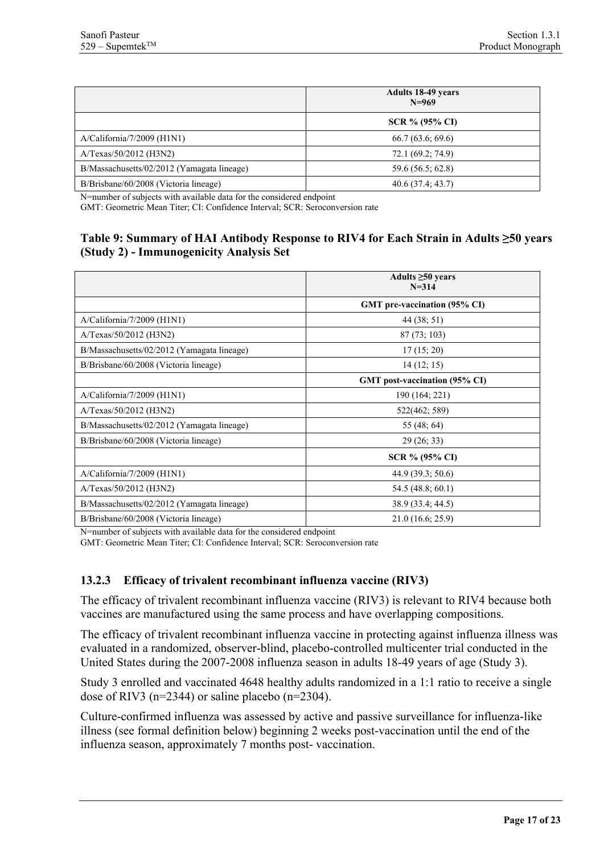|                                            | <b>Adults 18-49 years</b><br>$N=969$ |
|--------------------------------------------|--------------------------------------|
|                                            | SCR % (95% CI)                       |
| $A/California/7/2009$ ( $H1N1$ )           | 66.7(63.6; 69.6)                     |
| A/Texas/50/2012 (H3N2)                     | 72.1 (69.2; 74.9)                    |
| B/Massachusetts/02/2012 (Yamagata lineage) | 59.6 (56.5; 62.8)                    |
| B/Brisbane/60/2008 (Victoria lineage)      | 40.6(37.4; 43.7)                     |

N=number of subjects with available data for the considered endpoint

<span id="page-16-1"></span>GMT: Geometric Mean Titer; CI: Confidence Interval; SCR: Seroconversion rate

#### **Table 9: Summary of HAI Antibody Response to RIV4 for Each Strain in Adults ≥50 years (Study 2) - Immunogenicity Analysis Set**

|                                            | Adults $\geq 50$ years<br>$N = 314$ |  |  |  |
|--------------------------------------------|-------------------------------------|--|--|--|
|                                            | GMT pre-vaccination (95% CI)        |  |  |  |
| $A/California/7/2009$ ( $H1N1$ )           | 44 (38; 51)                         |  |  |  |
| A/Texas/50/2012 (H3N2)                     | 87(73; 103)                         |  |  |  |
| B/Massachusetts/02/2012 (Yamagata lineage) | 17(15; 20)                          |  |  |  |
| B/Brisbane/60/2008 (Victoria lineage)      | 14(12; 15)                          |  |  |  |
|                                            | GMT post-vaccination (95% CI)       |  |  |  |
| $A/California/7/2009$ ( $H1N1$ )           | 190 (164; 221)                      |  |  |  |
| A/Texas/50/2012 (H3N2)                     | 522(462; 589)                       |  |  |  |
| B/Massachusetts/02/2012 (Yamagata lineage) | 55 (48; 64)                         |  |  |  |
| B/Brisbane/60/2008 (Victoria lineage)      | 29 (26; 33)                         |  |  |  |
|                                            | SCR % (95% CI)                      |  |  |  |
| $A/California/7/2009$ ( $H1N1$ )           | 44.9 (39.3; 50.6)                   |  |  |  |
| A/Texas/50/2012 (H3N2)                     | 54.5 (48.8; 60.1)                   |  |  |  |
| B/Massachusetts/02/2012 (Yamagata lineage) | 38.9 (33.4; 44.5)                   |  |  |  |
| B/Brisbane/60/2008 (Victoria lineage)      | 21.0 (16.6; 25.9)                   |  |  |  |

N=number of subjects with available data for the considered endpoint

GMT: Geometric Mean Titer; CI: Confidence Interval; SCR: Seroconversion rate

#### <span id="page-16-0"></span>**13.2.3 Efficacy of trivalent recombinant influenza vaccine (RIV3)**

The efficacy of trivalent recombinant influenza vaccine (RIV3) is relevant to RIV4 because both vaccines are manufactured using the same process and have overlapping compositions.

The efficacy of trivalent recombinant influenza vaccine in protecting against influenza illness was evaluated in a randomized, observer-blind, placebo-controlled multicenter trial conducted in the United States during the 2007-2008 influenza season in adults 18-49 years of age (Study 3).

Study 3 enrolled and vaccinated 4648 healthy adults randomized in a 1:1 ratio to receive a single dose of RIV3 ( $n=2344$ ) or saline placebo ( $n=2304$ ).

Culture-confirmed influenza was assessed by active and passive surveillance for influenza-like illness (see formal definition below) beginning 2 weeks post-vaccination until the end of the influenza season, approximately 7 months post- vaccination.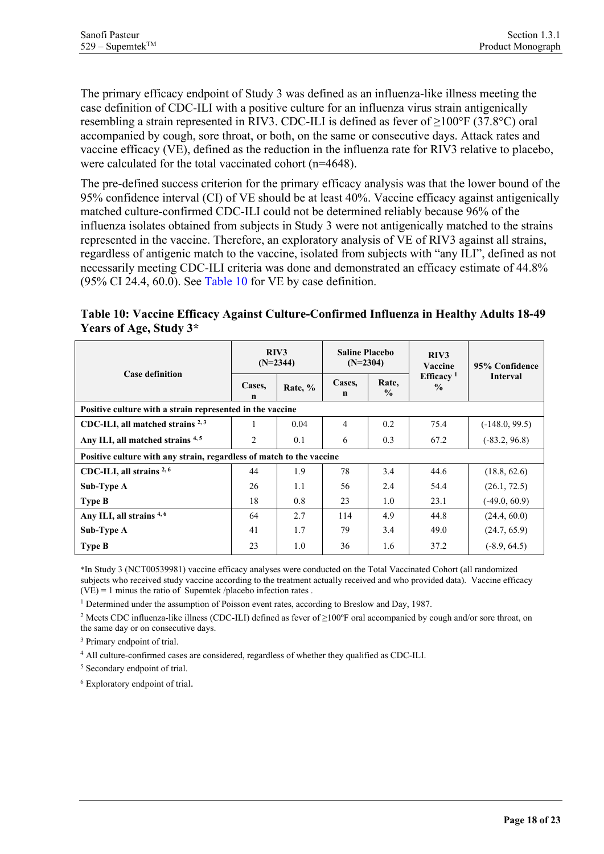The primary efficacy endpoint of Study 3 was defined as an influenza-like illness meeting the case definition of CDC-ILI with a positive culture for an influenza virus strain antigenically resembling a strain represented in RIV3. CDC-ILI is defined as fever of ≥100°F (37.8°C) oral accompanied by cough, sore throat, or both, on the same or consecutive days. Attack rates and vaccine efficacy (VE), defined as the reduction in the influenza rate for RIV3 relative to placebo, were calculated for the total vaccinated cohort (n=4648).

The pre-defined success criterion for the primary efficacy analysis was that the lower bound of the 95% confidence interval (CI) of VE should be at least 40%. Vaccine efficacy against antigenically matched culture-confirmed CDC-ILI could not be determined reliably because 96% of the influenza isolates obtained from subjects in Study 3 were not antigenically matched to the strains represented in the vaccine. Therefore, an exploratory analysis of VE of RIV3 against all strains, regardless of antigenic match to the vaccine, isolated from subjects with "any ILI", defined as not necessarily meeting CDC-ILI criteria was done and demonstrated an efficacy estimate of 44.8%  $(95\% \text{ CI } 24.4, 60.0)$ . See [Table 10](#page-17-0) for VE by case definition.

<span id="page-17-0"></span>**Table 10: Vaccine Efficacy Against Culture-Confirmed Influenza in Healthy Adults 18-49 Years of Age, Study 3\***

| <b>Case definition</b>                                               | RIV3<br>$(N=2344)$ |         | <b>Saline Placebo</b><br>$(N=2304)$ |                        | RIV3<br>Vaccine                        | 95% Confidence   |  |
|----------------------------------------------------------------------|--------------------|---------|-------------------------------------|------------------------|----------------------------------------|------------------|--|
|                                                                      | Cases,<br>n        | Rate, % | Cases,<br>n                         | Rate,<br>$\frac{6}{9}$ | Efficacy <sup>1</sup><br>$\frac{0}{0}$ | <b>Interval</b>  |  |
| Positive culture with a strain represented in the vaccine            |                    |         |                                     |                        |                                        |                  |  |
| CDC-ILI, all matched strains $2,3$                                   | 1                  | 0.04    | 4                                   | 0.2                    | 75.4                                   | $(-148.0, 99.5)$ |  |
| Any ILI, all matched strains 4,5                                     | 2                  | 0.1     | 6                                   | 0.3                    | 67.2                                   | $(-83.2, 96.8)$  |  |
| Positive culture with any strain, regardless of match to the vaccine |                    |         |                                     |                        |                                        |                  |  |
| CDC-ILI, all strains <sup>2,6</sup>                                  | 44                 | 1.9     | 78                                  | 3.4                    | 44.6                                   | (18.8, 62.6)     |  |
| Sub-Type A                                                           | 26                 | 1.1     | 56                                  | 2.4                    | 54.4                                   | (26.1, 72.5)     |  |
| <b>Type B</b>                                                        | 18                 | 0.8     | 23                                  | 1.0                    | 23.1                                   | $(-49.0, 60.9)$  |  |
| Any ILI, all strains $4,6$                                           | 64                 | 2.7     | 114                                 | 4.9                    | 44.8                                   | (24.4, 60.0)     |  |
| Sub-Type A                                                           | 41                 | 1.7     | 79                                  | 3.4                    | 49.0                                   | (24.7, 65.9)     |  |
| <b>Type B</b>                                                        | 23                 | 1.0     | 36                                  | 1.6                    | 37.2                                   | $(-8.9, 64.5)$   |  |

\*In Study 3 (NCT00539981) vaccine efficacy analyses were conducted on the Total Vaccinated Cohort (all randomized subjects who received study vaccine according to the treatment actually received and who provided data). Vaccine efficacy  $(VE) = 1$  minus the ratio of Supemtek /placebo infection rates.

<sup>1</sup> Determined under the assumption of Poisson event rates, according to Breslow and Day, 1987.

<sup>2</sup> Meets CDC influenza-like illness (CDC-ILI) defined as fever of ≥100ºF oral accompanied by cough and/or sore throat, on the same day or on consecutive days.

<sup>3</sup> Primary endpoint of trial.

<sup>4</sup> All culture-confirmed cases are considered, regardless of whether they qualified as CDC-ILI.

<sup>5</sup> Secondary endpoint of trial.

<sup>6</sup> Exploratory endpoint of trial.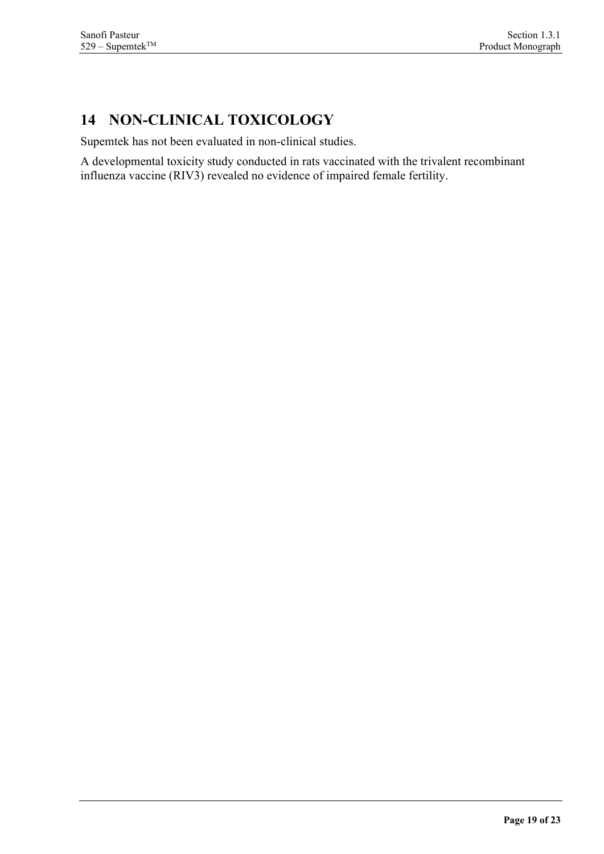# <span id="page-18-0"></span>**14 NON-CLINICAL TOXICOLOGY**

Supemtek has not been evaluated in non-clinical studies.

A developmental toxicity study conducted in rats vaccinated with the trivalent recombinant influenza vaccine (RIV3) revealed no evidence of impaired female fertility.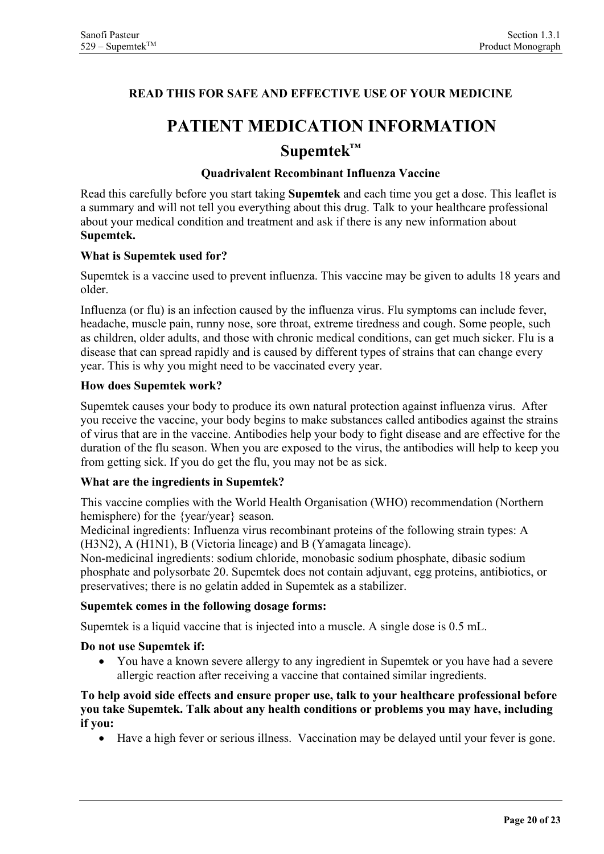### <span id="page-19-0"></span>**READ THIS FOR SAFE AND EFFECTIVE USE OF YOUR MEDICINE**

# **PATIENT MEDICATION INFORMATION Supemtek™**

#### **Quadrivalent Recombinant Influenza Vaccine**

Read this carefully before you start taking **Supemtek** and each time you get a dose. This leaflet is a summary and will not tell you everything about this drug. Talk to your healthcare professional about your medical condition and treatment and ask if there is any new information about **Supemtek.** 

#### **What is Supemtek used for?**

Supemtek is a vaccine used to prevent influenza. This vaccine may be given to adults 18 years and older.

Influenza (or flu) is an infection caused by the influenza virus. Flu symptoms can include fever, headache, muscle pain, runny nose, sore throat, extreme tiredness and cough. Some people, such as children, older adults, and those with chronic medical conditions, can get much sicker. Flu is a disease that can spread rapidly and is caused by different types of strains that can change every year. This is why you might need to be vaccinated every year.

#### **How does Supemtek work?**

Supemtek causes your body to produce its own natural protection against influenza virus. After you receive the vaccine, your body begins to make substances called antibodies against the strains of virus that are in the vaccine. Antibodies help your body to fight disease and are effective for the duration of the flu season. When you are exposed to the virus, the antibodies will help to keep you from getting sick. If you do get the flu, you may not be as sick.

#### **What are the ingredients in Supemtek?**

This vaccine complies with the World Health Organisation (WHO) recommendation (Northern hemisphere) for the {year/year} season.

Medicinal ingredients: Influenza virus recombinant proteins of the following strain types: A (H3N2), A (H1N1), B (Victoria lineage) and B (Yamagata lineage).

Non-medicinal ingredients: sodium chloride, monobasic sodium phosphate, dibasic sodium phosphate and polysorbate 20. Supemtek does not contain adjuvant, egg proteins, antibiotics, or preservatives; there is no gelatin added in Supemtek as a stabilizer.

#### **Supemtek comes in the following dosage forms:**

Supemtek is a liquid vaccine that is injected into a muscle. A single dose is 0.5 mL.

#### **Do not use Supemtek if:**

• You have a known severe allergy to any ingredient in Supemtek or you have had a severe allergic reaction after receiving a vaccine that contained similar ingredients.

#### **To help avoid side effects and ensure proper use, talk to your healthcare professional before you take Supemtek. Talk about any health conditions or problems you may have, including if you:**

• Have a high fever or serious illness.Vaccination may be delayed until your fever is gone.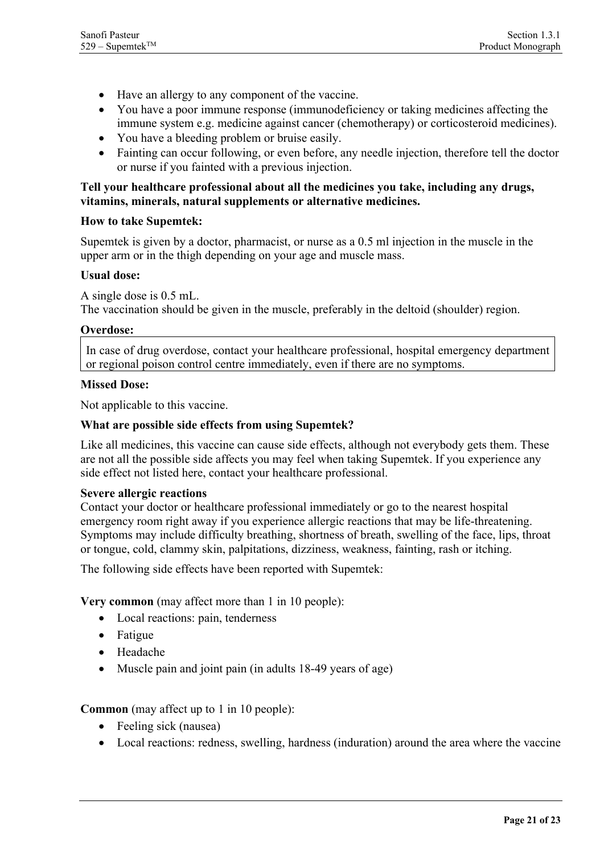- Have an allergy to any component of the vaccine.
- You have a poor immune response (immunodeficiency or taking medicines affecting the immune system e.g. medicine against cancer (chemotherapy) or corticosteroid medicines).
- You have a bleeding problem or bruise easily.
- Fainting can occur following, or even before, any needle injection, therefore tell the doctor or nurse if you fainted with a previous injection.

#### **Tell your healthcare professional about all the medicines you take, including any drugs, vitamins, minerals, natural supplements or alternative medicines.**

#### **How to take Supemtek:**

Supemtek is given by a doctor, pharmacist, or nurse as a 0.5 ml injection in the muscle in the upper arm or in the thigh depending on your age and muscle mass.

#### **Usual dose:**

A single dose is 0.5 mL. The vaccination should be given in the muscle, preferably in the deltoid (shoulder) region.

#### **Overdose:**

In case of drug overdose, contact your healthcare professional, hospital emergency department or regional poison control centre immediately, even if there are no symptoms.

#### **Missed Dose:**

Not applicable to this vaccine.

#### **What are possible side effects from using Supemtek?**

Like all medicines, this vaccine can cause side effects, although not everybody gets them. These are not all the possible side affects you may feel when taking Supemtek. If you experience any side effect not listed here, contact your healthcare professional.

#### **Severe allergic reactions**

Contact your doctor or healthcare professional immediately or go to the nearest hospital emergency room right away if you experience allergic reactions that may be life-threatening. Symptoms may include difficulty breathing, shortness of breath, swelling of the face, lips, throat or tongue, cold, clammy skin, palpitations, dizziness, weakness, fainting, rash or itching.

The following side effects have been reported with Supemtek:

**Very common** (may affect more than 1 in 10 people):

- Local reactions: pain, tenderness
- Fatigue
- Headache
- Muscle pain and joint pain (in adults 18-49 years of age)

#### **Common** (may affect up to 1 in 10 people):

- Feeling sick (nausea)
- Local reactions: redness, swelling, hardness (induration) around the area where the vaccine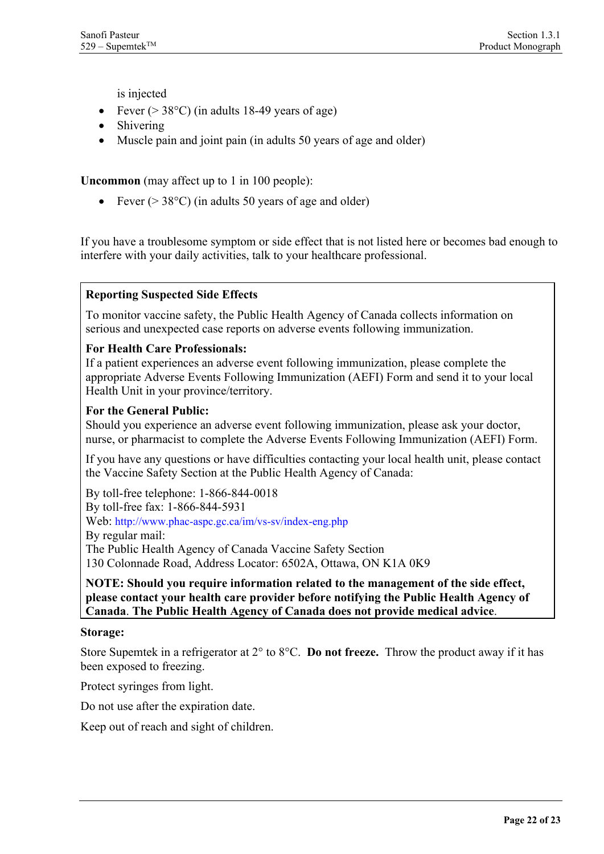is injected

- Fever ( $>$  38 $\degree$ C) (in adults 18-49 years of age)
- Shivering
- Muscle pain and joint pain (in adults 50 years of age and older)

**Uncommon** (may affect up to 1 in 100 people):

• Fever ( $>$  38 $^{\circ}$ C) (in adults 50 years of age and older)

If you have a troublesome symptom or side effect that is not listed here or becomes bad enough to interfere with your daily activities, talk to your healthcare professional.

#### **Reporting Suspected Side Effects**

To monitor vaccine safety, the Public Health Agency of Canada collects information on serious and unexpected case reports on adverse events following immunization.

#### **For Health Care Professionals:**

If a patient experiences an adverse event following immunization, please complete the appropriate Adverse Events Following Immunization (AEFI) Form and send it to your local Health Unit in your province/territory.

#### **For the General Public:**

Should you experience an adverse event following immunization, please ask your doctor, nurse, or pharmacist to complete the Adverse Events Following Immunization (AEFI) Form.

If you have any questions or have difficulties contacting your local health unit, please contact the Vaccine Safety Section at the Public Health Agency of Canada:

By toll-free telephone: 1-866-844-0018 By toll-free fax: 1-866-844-5931 Web:<http://www.phac-aspc.gc.ca/im/vs-sv/index-eng.php> By regular mail: The Public Health Agency of Canada Vaccine Safety Section 130 Colonnade Road, Address Locator: 6502A, Ottawa, ON K1A 0K9

**NOTE: Should you require information related to the management of the side effect, please contact your health care provider before notifying the Public Health Agency of Canada**. **The Public Health Agency of Canada does not provide medical advice**.

#### **Storage:**

Store Supemtek in a refrigerator at 2° to 8°C. **Do not freeze.** Throw the product away if it has been exposed to freezing.

Protect syringes from light.

Do not use after the expiration date.

Keep out of reach and sight of children.